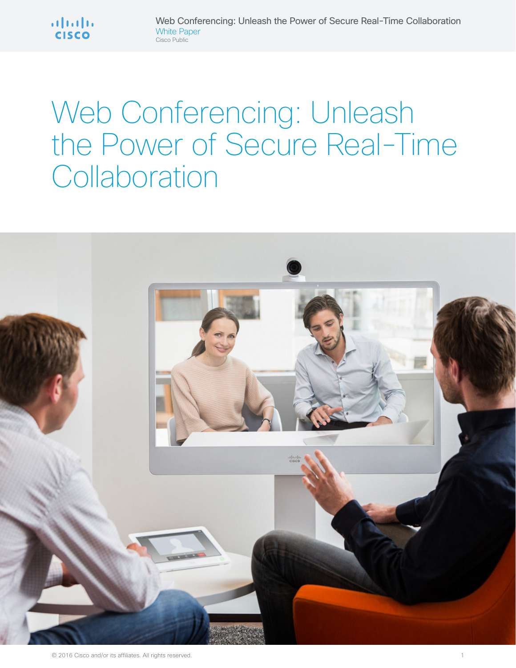

# Web Conferencing: Unleash the Power of Secure Real-Time **Collaboration**

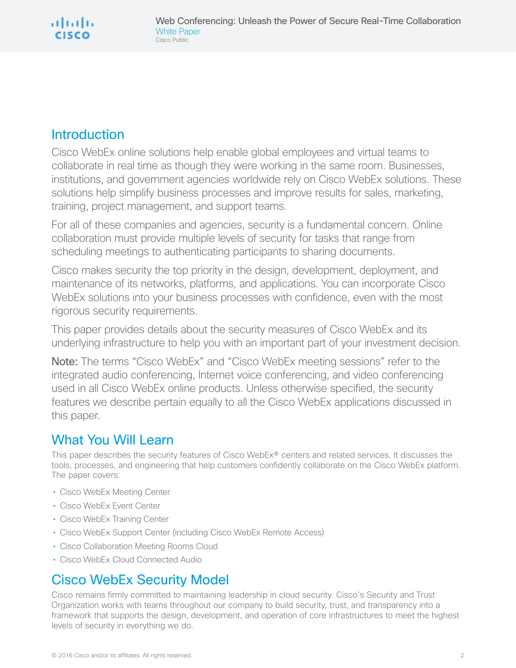# Introduction

Cisco WebEx online solutions help enable global employees and virtual teams to collaborate in real time as though they were working in the same room. Businesses, institutions, and government agencies worldwide rely on Cisco WebEx solutions. These solutions help simplify business processes and improve results for sales, marketing, training, project management, and support teams.

For all of these companies and agencies, security is a fundamental concern. Online collaboration must provide multiple levels of security for tasks that range from scheduling meetings to authenticating participants to sharing documents.

Cisco makes security the top priority in the design, development, deployment, and maintenance of its networks, platforms, and applications. You can incorporate Cisco WebEx solutions into your business processes with confidence, even with the most rigorous security requirements.

This paper provides details about the security measures of Cisco WebEx and its underlying infrastructure to help you with an important part of your investment decision.

Note: The terms "Cisco WebEx" and "Cisco WebEx meeting sessions" refer to the integrated audio conferencing, Internet voice conferencing, and video conferencing used in all Cisco WebEx online products. Unless otherwise specified, the security features we describe pertain equally to all the Cisco WebEx applications discussed in this paper.

# What You Will Learn

This paper describes the security features of Cisco WebEx® centers and related services. It discusses the tools, processes, and engineering that help customers confidently collaborate on the Cisco WebEx platform. The paper covers:

- Cisco WebEx Meeting Center
- Cisco WebEx Event Center
- Cisco WebEx Training Center
- Cisco WebEx Support Center (including Cisco WebEx Remote Access)
- Cisco Collaboration Meeting Rooms Cloud
- Cisco WebEx Cloud Connected Audio

# Cisco WebEx Security Model

Cisco remains firmly committed to maintaining leadership in cloud security. Cisco's Security and Trust Organization works with teams throughout our company to build security, trust, and transparency into a framework that supports the design, development, and operation of core infrastructures to meet the highest levels of security in everything we do.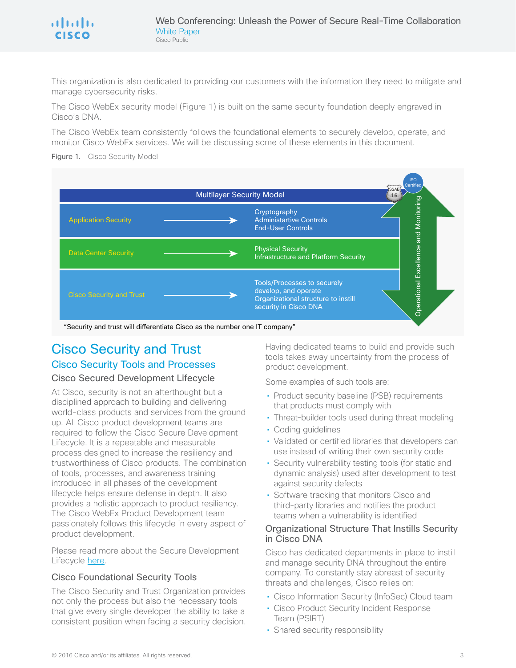This organization is also dedicated to providing our customers with the information they need to mitigate and manage cybersecurity risks.

The Cisco WebEx security model (Figure 1) is built on the same security foundation deeply engraved in Cisco's DNA.

The Cisco WebEx team consistently follows the foundational elements to securely develop, operate, and monitor Cisco WebEx services. We will be discussing some of these elements in this document.

Figure 1. Cisco Security Model



"Security and trust will differentiate Cisco as the number one IT company"

## Cisco Security and Trust Cisco Security Tools and Processes

#### Cisco Secured Development Lifecycle

At Cisco, security is not an afterthought but a disciplined approach to building and delivering world-class products and services from the ground up. All Cisco product development teams are required to follow the Cisco Secure Development Lifecycle. It is a repeatable and measurable process designed to increase the resiliency and trustworthiness of Cisco products. The combination of tools, processes, and awareness training introduced in all phases of the development lifecycle helps ensure defense in depth. It also provides a holistic approach to product resiliency. The Cisco WebEx Product Development team passionately follows this lifecycle in every aspect of product development.

Please read more about the Secure Development Lifecycle [here](http://www.cisco.com/c/en/us/about/security-center/security-programs/secure-development-lifecycle.html).

#### Cisco Foundational Security Tools

The Cisco Security and Trust Organization provides not only the process but also the necessary tools that give every single developer the ability to take a consistent position when facing a security decision. Having dedicated teams to build and provide such tools takes away uncertainty from the process of product development.

Some examples of such tools are:

- Product security baseline (PSB) requirements that products must comply with
- Threat-builder tools used during threat modeling
- Coding guidelines
- Validated or certified libraries that developers can use instead of writing their own security code
- Security vulnerability testing tools (for static and dynamic analysis) used after development to test against security defects
- Software tracking that monitors Cisco and third-party libraries and notifies the product teams when a vulnerability is identified

#### Organizational Structure That Instills Security in Cisco DNA

Cisco has dedicated departments in place to instill and manage security DNA throughout the entire company. To constantly stay abreast of security threats and challenges, Cisco relies on:

- Cisco Information Security (InfoSec) Cloud team
- Cisco Product Security Incident Response Team (PSIRT)
- Shared security responsibility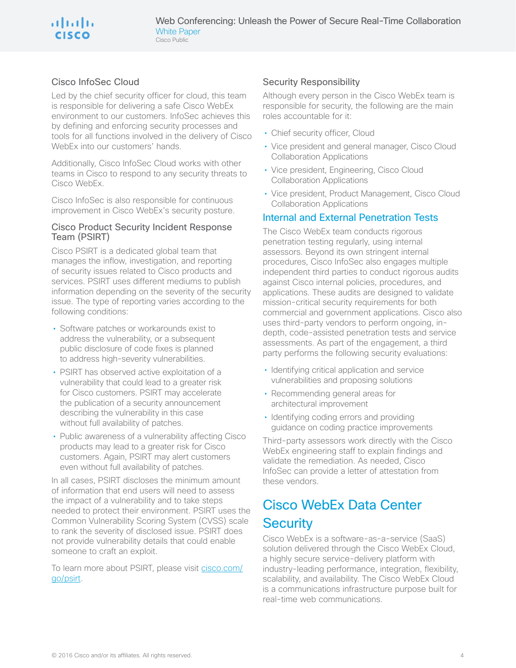#### Cisco InfoSec Cloud

Led by the chief security officer for cloud, this team is responsible for delivering a safe Cisco WebEx environment to our customers. InfoSec achieves this by defining and enforcing security processes and tools for all functions involved in the delivery of Cisco WebEx into our customers' hands.

Additionally, Cisco InfoSec Cloud works with other teams in Cisco to respond to any security threats to Cisco WebEx.

Cisco InfoSec is also responsible for continuous improvement in Cisco WebEx's security posture.

#### Cisco Product Security Incident Response Team (PSIRT)

Cisco PSIRT is a dedicated global team that manages the inflow, investigation, and reporting of security issues related to Cisco products and services. PSIRT uses different mediums to publish information depending on the severity of the security issue. The type of reporting varies according to the following conditions:

- Software patches or workarounds exist to address the vulnerability, or a subsequent public disclosure of code fixes is planned to address high-severity vulnerabilities.
- PSIRT has observed active exploitation of a vulnerability that could lead to a greater risk for Cisco customers. PSIRT may accelerate the publication of a security announcement describing the vulnerability in this case without full availability of patches.
- Public awareness of a vulnerability affecting Cisco products may lead to a greater risk for Cisco customers. Again, PSIRT may alert customers even without full availability of patches.

In all cases, PSIRT discloses the minimum amount of information that end users will need to assess the impact of a vulnerability and to take steps needed to protect their environment. PSIRT uses the Common Vulnerability Scoring System (CVSS) scale to rank the severity of disclosed issue. PSIRT does not provide vulnerability details that could enable someone to craft an exploit.

To learn more about PSIRT, please visit [cisco.com/](http://www.cisco.com/go/psirt) [go/psirt.](http://www.cisco.com/go/psirt)

#### Security Responsibility

Although every person in the Cisco WebEx team is responsible for security, the following are the main roles accountable for it:

- Chief security officer, Cloud
- Vice president and general manager, Cisco Cloud Collaboration Applications
- Vice president, Engineering, Cisco Cloud Collaboration Applications
- Vice president, Product Management, Cisco Cloud Collaboration Applications

#### Internal and External Penetration Tests

The Cisco WebEx team conducts rigorous penetration testing regularly, using internal assessors. Beyond its own stringent internal procedures, Cisco InfoSec also engages multiple independent third parties to conduct rigorous audits against Cisco internal policies, procedures, and applications. These audits are designed to validate mission-critical security requirements for both commercial and government applications. Cisco also uses third-party vendors to perform ongoing, indepth, code-assisted penetration tests and service assessments. As part of the engagement, a third party performs the following security evaluations:

- Identifying critical application and service vulnerabilities and proposing solutions
- Recommending general areas for architectural improvement
- Identifying coding errors and providing guidance on coding practice improvements

Third-party assessors work directly with the Cisco WebEx engineering staff to explain findings and validate the remediation. As needed, Cisco InfoSec can provide a letter of attestation from these vendors.

# Cisco WebEx Data Center **Security**

Cisco WebEx is a software-as-a-service (SaaS) solution delivered through the Cisco WebEx Cloud, a highly secure service-delivery platform with industry-leading performance, integration, flexibility, scalability, and availability. The Cisco WebEx Cloud is a communications infrastructure purpose built for real-time web communications.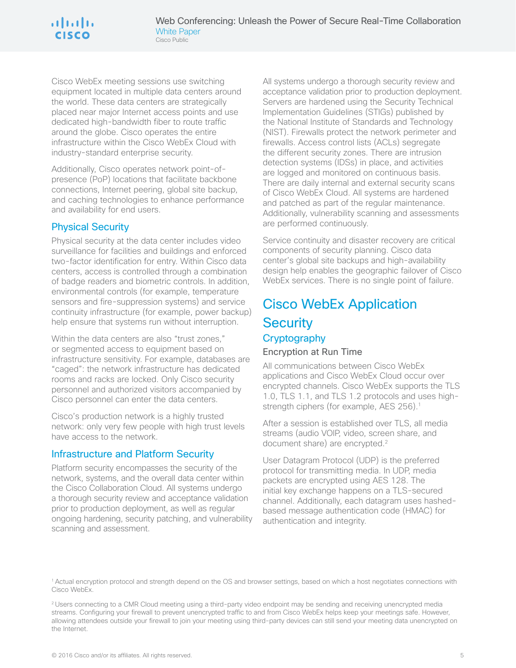Cisco WebEx meeting sessions use switching equipment located in multiple data centers around the world. These data centers are strategically placed near major Internet access points and use dedicated high-bandwidth fiber to route traffic around the globe. Cisco operates the entire infrastructure within the Cisco WebEx Cloud with industry-standard enterprise security.

Additionally, Cisco operates network point-ofpresence (PoP) locations that facilitate backbone connections, Internet peering, global site backup, and caching technologies to enhance performance and availability for end users.

## Physical Security

Physical security at the data center includes video surveillance for facilities and buildings and enforced two-factor identification for entry. Within Cisco data centers, access is controlled through a combination of badge readers and biometric controls. In addition, environmental controls (for example, temperature sensors and fire-suppression systems) and service continuity infrastructure (for example, power backup) help ensure that systems run without interruption.

Within the data centers are also "trust zones," or segmented access to equipment based on infrastructure sensitivity. For example, databases are "caged": the network infrastructure has dedicated rooms and racks are locked. Only Cisco security personnel and authorized visitors accompanied by Cisco personnel can enter the data centers.

Cisco's production network is a highly trusted network: only very few people with high trust levels have access to the network.

#### Infrastructure and Platform Security

Platform security encompasses the security of the network, systems, and the overall data center within the Cisco Collaboration Cloud. All systems undergo a thorough security review and acceptance validation prior to production deployment, as well as regular ongoing hardening, security patching, and vulnerability scanning and assessment.

All systems undergo a thorough security review and acceptance validation prior to production deployment. Servers are hardened using the Security Technical Implementation Guidelines (STIGs) published by the National Institute of Standards and Technology (NIST). Firewalls protect the network perimeter and firewalls. Access control lists (ACLs) segregate the different security zones. There are intrusion detection systems (IDSs) in place, and activities are logged and monitored on continuous basis. There are daily internal and external security scans of Cisco WebEx Cloud. All systems are hardened and patched as part of the regular maintenance. Additionally, vulnerability scanning and assessments are performed continuously.

Service continuity and disaster recovery are critical components of security planning. Cisco data center's global site backups and high-availability design help enables the geographic failover of Cisco WebEx services. There is no single point of failure.

## Cisco WebEx Application **Security Cryptography** Encryption at Run Time

All communications between Cisco WebEx applications and Cisco WebEx Cloud occur over encrypted channels. Cisco WebEx supports the TLS 1.0, TLS 1.1, and TLS 1.2 protocols and uses highstrength ciphers (for example, AES 256).<sup>1</sup>

After a session is established over TLS, all media streams (audio VOIP, video, screen share, and document share) are encrypted.2

User Datagram Protocol (UDP) is the preferred protocol for transmitting media. In UDP, media packets are encrypted using AES 128. The initial key exchange happens on a TLS-secured channel. Additionally, each datagram uses hashedbased message authentication code (HMAC) for authentication and integrity.

<sup>1</sup> Actual encryption protocol and strength depend on the OS and browser settings, based on which a host negotiates connections with Cisco WebEx.

<sup>&</sup>lt;sup>2</sup> Users connecting to a CMR Cloud meeting using a third-party video endpoint may be sending and receiving unencrypted media streams. Configuring your firewall to prevent unencrypted traffic to and from Cisco WebEx helps keep your meetings safe. However, allowing attendees outside your firewall to join your meeting using third-party devices can still send your meeting data unencrypted on the Internet.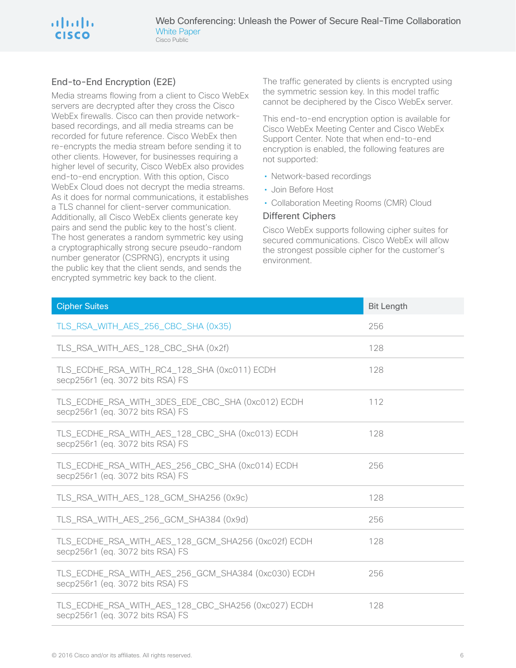## a | tal | ta **CISCO**

## End-to-End Encryption (E2E)

Media streams flowing from a client to Cisco WebEx servers are decrypted after they cross the Cisco WebEx firewalls. Cisco can then provide networkbased recordings, and all media streams can be recorded for future reference. Cisco WebEx then re-encrypts the media stream before sending it to other clients. However, for businesses requiring a higher level of security, Cisco WebEx also provides end-to-end encryption. With this option, Cisco WebEx Cloud does not decrypt the media streams. As it does for normal communications, it establishes a TLS channel for client-server communication. Additionally, all Cisco WebEx clients generate key pairs and send the public key to the host's client. The host generates a random symmetric key using a cryptographically strong secure pseudo-random number generator (CSPRNG), encrypts it using the public key that the client sends, and sends the encrypted symmetric key back to the client.

The traffic generated by clients is encrypted using the symmetric session key. In this model traffic cannot be deciphered by the Cisco WebEx server.

This end-to-end encryption option is available for Cisco WebEx Meeting Center and Cisco WebEx Support Center. Note that when end-to-end encryption is enabled, the following features are not supported:

- Network-based recordings
- Join Before Host
- Collaboration Meeting Rooms (CMR) Cloud

#### Different Ciphers

Cisco WebEx supports following cipher suites for secured communications. Cisco WebEx will allow the strongest possible cipher for the customer's environment.

| <b>Cipher Suites</b>                                                                    | <b>Bit Length</b> |
|-----------------------------------------------------------------------------------------|-------------------|
| TLS_RSA_WITH_AES_256_CBC_SHA (0x35)                                                     | 256               |
| TLS_RSA_WITH_AES_128_CBC_SHA (0x2f)                                                     | 128               |
| TLS_ECDHE_RSA_WITH_RC4_128_SHA (0xc011) ECDH<br>secp256r1 (eq. 3072 bits RSA) FS        | 128               |
| TLS_ECDHE_RSA_WITH_3DES_EDE_CBC_SHA (0xc012) ECDH<br>secp256r1 (eq. 3072 bits RSA) FS   | 112               |
| TLS_ECDHE_RSA_WITH_AES_128_CBC_SHA (0xc013) ECDH<br>secp256r1 (eq. 3072 bits RSA) FS    | 128               |
| TLS_ECDHE_RSA_WITH_AES_256_CBC_SHA (0xc014) ECDH<br>secp256r1 (eq. 3072 bits RSA) FS    | 256               |
| TLS_RSA_WITH_AES_128_GCM_SHA256 (0x9c)                                                  | 128               |
| TLS_RSA_WITH_AES_256_GCM_SHA384 (0x9d)                                                  | 256               |
| TLS_ECDHE_RSA_WITH_AES_128_GCM_SHA256 (0xc02f) ECDH<br>secp256r1 (eq. 3072 bits RSA) FS | 128               |
| TLS_ECDHE_RSA_WITH_AES_256_GCM_SHA384 (0xc030) ECDH<br>secp256r1 (eq. 3072 bits RSA) FS | 256               |
| TLS_ECDHE_RSA_WITH_AES_128_CBC_SHA256 (0xc027) ECDH<br>secp256r1 (eq. 3072 bits RSA) FS | 128               |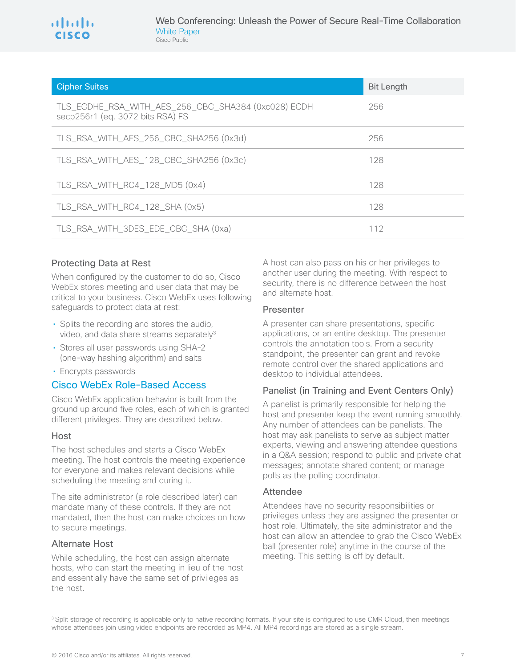| <b>Cipher Suites</b>                                                                    | <b>Bit Length</b> |
|-----------------------------------------------------------------------------------------|-------------------|
| TLS_ECDHE_RSA_WITH_AES_256_CBC_SHA384 (0xc028) ECDH<br>secp256r1 (eq. 3072 bits RSA) FS | 256               |
| TLS_RSA_WITH_AES_256_CBC_SHA256 (0x3d)                                                  | 256               |
| TLS_RSA_WITH_AES_128_CBC_SHA256 (0x3c)                                                  | 128               |
| TLS_RSA_WITH_RC4_128_MD5 (0x4)                                                          | 128               |
| TLS_RSA_WITH_RC4_128_SHA (0x5)                                                          | 128               |
| TLS_RSA_WITH_3DES_EDE_CBC_SHA (0xa)                                                     | 112               |

#### Protecting Data at Rest

When configured by the customer to do so, Cisco WebEx stores meeting and user data that may be critical to your business. Cisco WebEx uses following safeguards to protect data at rest:

- Splits the recording and stores the audio, video, and data share streams separately<sup>3</sup>
- Stores all user passwords using SHA-2 (one-way hashing algorithm) and salts
- Encrypts passwords

#### Cisco WebEx Role-Based Access

Cisco WebEx application behavior is built from the ground up around five roles, each of which is granted different privileges. They are described below.

#### Host

The host schedules and starts a Cisco WebEx meeting. The host controls the meeting experience for everyone and makes relevant decisions while scheduling the meeting and during it.

The site administrator (a role described later) can mandate many of these controls. If they are not mandated, then the host can make choices on how to secure meetings.

#### Alternate Host

While scheduling, the host can assign alternate hosts, who can start the meeting in lieu of the host and essentially have the same set of privileges as the host.

A host can also pass on his or her privileges to another user during the meeting. With respect to security, there is no difference between the host and alternate host.

#### Presenter

A presenter can share presentations, specific applications, or an entire desktop. The presenter controls the annotation tools. From a security standpoint, the presenter can grant and revoke remote control over the shared applications and desktop to individual attendees.

#### Panelist (in Training and Event Centers Only)

A panelist is primarily responsible for helping the host and presenter keep the event running smoothly. Any number of attendees can be panelists. The host may ask panelists to serve as subject matter experts, viewing and answering attendee questions in a Q&A session; respond to public and private chat messages; annotate shared content; or manage polls as the polling coordinator.

#### Attendee

Attendees have no security responsibilities or privileges unless they are assigned the presenter or host role. Ultimately, the site administrator and the host can allow an attendee to grab the Cisco WebEx ball (presenter role) anytime in the course of the meeting. This setting is off by default.

<sup>3</sup> Split storage of recording is applicable only to native recording formats. If your site is configured to use CMR Cloud, then meetings whose attendees join using video endpoints are recorded as MP4. All MP4 recordings are stored as a single stream.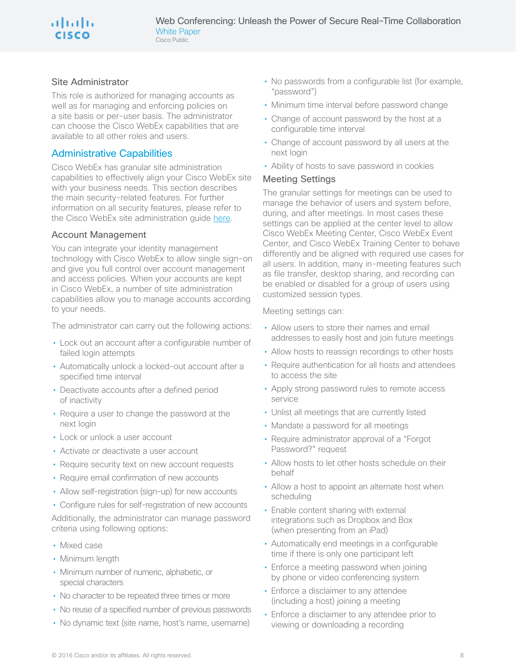## a | 1 a | 1 a CISCO

#### Site Administrator

This role is authorized for managing accounts as well as for managing and enforcing policies on a site basis or per-user basis. The administrator can choose the Cisco WebEx capabilities that are available to all other roles and users.

#### Administrative Capabilities

Cisco WebEx has granular site administration capabilities to effectively align your Cisco WebEx site with your business needs. This section describes the main security-related features. For further information on all security features, please refer to the Cisco WebEx site administration guide [here.](https://help.webex.com/community/webex-admin)

#### Account Management

You can integrate your identity management technology with Cisco WebEx to allow single sign-on and give you full control over account management and access policies. When your accounts are kept in Cisco WebEx, a number of site administration capabilities allow you to manage accounts according to your needs.

The administrator can carry out the following actions:

- Lock out an account after a configurable number of failed login attempts
- Automatically unlock a locked-out account after a specified time interval
- Deactivate accounts after a defined period of inactivity
- Require a user to change the password at the next login
- Lock or unlock a user account
- Activate or deactivate a user account
- Require security text on new account requests
- Require email confirmation of new accounts
- Allow self-registration (sign-up) for new accounts
- Configure rules for self-registration of new accounts

Additionally, the administrator can manage password criteria using following options:

- Mixed case
- Minimum length
- Minimum number of numeric, alphabetic, or special characters
- No character to be repeated three times or more
- No reuse of a specified number of previous passwords
- No dynamic text (site name, host's name, username)
- No passwords from a configurable list (for example, "password")
- Minimum time interval before password change
- Change of account password by the host at a configurable time interval
- Change of account password by all users at the next login
- Ability of hosts to save password in cookies

#### Meeting Settings

The granular settings for meetings can be used to manage the behavior of users and system before, during, and after meetings. In most cases these settings can be applied at the center level to allow Cisco WebEx Meeting Center, Cisco WebEx Event Center, and Cisco WebEx Training Center to behave differently and be aligned with required use cases for all users. In addition, many in-meeting features such as file transfer, desktop sharing, and recording can be enabled or disabled for a group of users using customized session types.

#### Meeting settings can:

- Allow users to store their names and email addresses to easily host and join future meetings
- Allow hosts to reassign recordings to other hosts
- Require authentication for all hosts and attendees to access the site
- Apply strong password rules to remote access service
- Unlist all meetings that are currently listed
- Mandate a password for all meetings
- Require administrator approval of a "Forgot Password?" request
- Allow hosts to let other hosts schedule on their behalf
- Allow a host to appoint an alternate host when scheduling
- Enable content sharing with external integrations such as Dropbox and Box (when presenting from an iPad)
- Automatically end meetings in a configurable time if there is only one participant left
- Enforce a meeting password when joining by phone or video conferencing system
- Enforce a disclaimer to any attendee (including a host) joining a meeting
- Enforce a disclaimer to any attendee prior to viewing or downloading a recording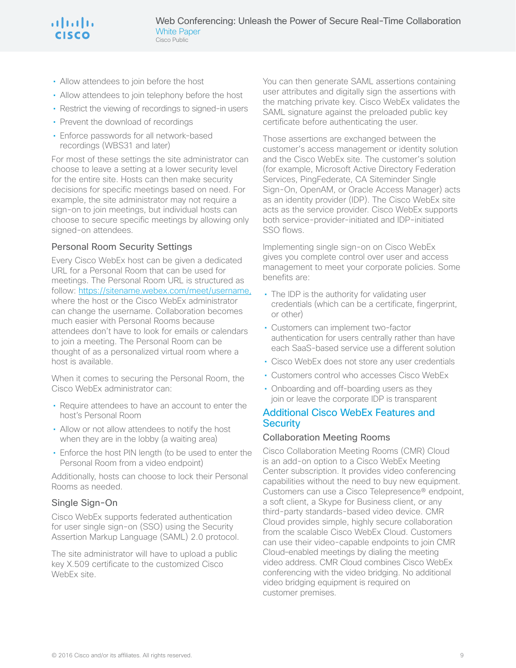- Allow attendees to join before the host
- Allow attendees to join telephony before the host
- Restrict the viewing of recordings to signed-in users
- Prevent the download of recordings
- Enforce passwords for all network-based recordings (WBS31 and later)

For most of these settings the site administrator can choose to leave a setting at a lower security level for the entire site. Hosts can then make security decisions for specific meetings based on need. For example, the site administrator may not require a sign-on to join meetings, but individual hosts can choose to secure specific meetings by allowing only signed-on attendees.

#### Personal Room Security Settings

Every Cisco WebEx host can be given a dedicated URL for a Personal Room that can be used for meetings. The Personal Room URL is structured as follow:<https://sitename.webex.com/meet/username,> where the host or the Cisco WebEx administrator can change the username. Collaboration becomes much easier with Personal Rooms because attendees don't have to look for emails or calendars to join a meeting. The Personal Room can be thought of as a personalized virtual room where a host is available.

When it comes to securing the Personal Room, the Cisco WebEx administrator can:

- Require attendees to have an account to enter the host's Personal Room
- Allow or not allow attendees to notify the host when they are in the lobby (a waiting area)
- Enforce the host PIN length (to be used to enter the Personal Room from a video endpoint)

Additionally, hosts can choose to lock their Personal Rooms as needed.

#### Single Sign-On

Cisco WebEx supports federated authentication for user single sign-on (SSO) using the Security Assertion Markup Language (SAML) 2.0 protocol.

The site administrator will have to upload a public key X.509 certificate to the customized Cisco WebEx site.

You can then generate SAML assertions containing user attributes and digitally sign the assertions with the matching private key. Cisco WebEx validates the SAML signature against the preloaded public key certificate before authenticating the user.

Those assertions are exchanged between the customer's access management or identity solution and the Cisco WebEx site. The customer's solution (for example, Microsoft Active Directory Federation Services, PingFederate, CA Siteminder Single Sign-On, OpenAM, or Oracle Access Manager) acts as an identity provider (IDP). The Cisco WebEx site acts as the service provider. Cisco WebEx supports both service-provider-initiated and IDP-initiated SSO flows.

Implementing single sign-on on Cisco WebEx gives you complete control over user and access management to meet your corporate policies. Some benefits are:

- The IDP is the authority for validating user credentials (which can be a certificate, fingerprint, or other)
- Customers can implement two-factor authentication for users centrally rather than have each SaaS-based service use a different solution
- Cisco WebEx does not store any user credentials
- Customers control who accesses Cisco WebEx
- Onboarding and off-boarding users as they join or leave the corporate IDP is transparent

#### Additional Cisco WebEx Features and **Security**

#### Collaboration Meeting Rooms

Cisco Collaboration Meeting Rooms (CMR) Cloud is an add-on option to a Cisco WebEx Meeting Center subscription. It provides video conferencing capabilities without the need to buy new equipment. Customers can use a Cisco Telepresence® endpoint, a soft client, a Skype for Business client, or any third-party standards-based video device. CMR Cloud provides simple, highly secure collaboration from the scalable Cisco WebEx Cloud. Customers can use their video-capable endpoints to join CMR Cloud–enabled meetings by dialing the meeting video address. CMR Cloud combines Cisco WebEx conferencing with the video bridging. No additional video bridging equipment is required on customer premises.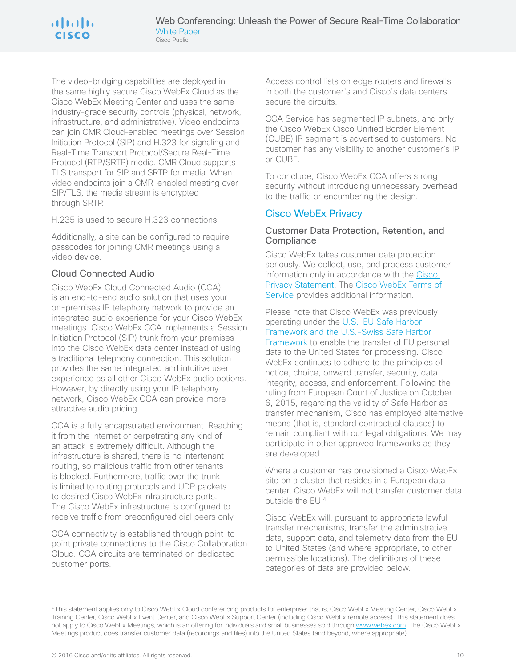The video-bridging capabilities are deployed in the same highly secure Cisco WebEx Cloud as the Cisco WebEx Meeting Center and uses the same industry-grade security controls (physical, network, infrastructure, and administrative). Video endpoints can join CMR Cloud–enabled meetings over Session Initiation Protocol (SIP) and H.323 for signaling and Real-Time Transport Protocol/Secure Real-Time Protocol (RTP/SRTP) media. CMR Cloud supports TLS transport for SIP and SRTP for media. When video endpoints join a CMR-enabled meeting over SIP/TLS, the media stream is encrypted through SRTP.

H.235 is used to secure H.323 connections.

Additionally, a site can be configured to require passcodes for joining CMR meetings using a video device.

#### Cloud Connected Audio

Cisco WebEx Cloud Connected Audio (CCA) is an end-to-end audio solution that uses your on-premises IP telephony network to provide an integrated audio experience for your Cisco WebEx meetings. Cisco WebEx CCA implements a Session Initiation Protocol (SIP) trunk from your premises into the Cisco WebEx data center instead of using a traditional telephony connection. This solution provides the same integrated and intuitive user experience as all other Cisco WebEx audio options. However, by directly using your IP telephony network, Cisco WebEx CCA can provide more attractive audio pricing.

CCA is a fully encapsulated environment. Reaching it from the Internet or perpetrating any kind of an attack is extremely difficult. Although the infrastructure is shared, there is no intertenant routing, so malicious traffic from other tenants is blocked. Furthermore, traffic over the trunk is limited to routing protocols and UDP packets to desired Cisco WebEx infrastructure ports. The Cisco WebEx infrastructure is configured to receive traffic from preconfigured dial peers only.

CCA connectivity is established through point-topoint private connections to the Cisco Collaboration Cloud. CCA circuits are terminated on dedicated customer ports.

Access control lists on edge routers and firewalls in both the customer's and Cisco's data centers secure the circuits.

CCA Service has segmented IP subnets, and only the Cisco WebEx Cisco Unified Border Element (CUBE) IP segment is advertised to customers. No customer has any visibility to another customer's IP or CUBE.

To conclude, Cisco WebEx CCA offers strong security without introducing unnecessary overhead to the traffic or encumbering the design.

## Cisco WebEx Privacy

#### Customer Data Protection, Retention, and **Compliance**

Cisco WebEx takes customer data protection seriously. We collect, use, and process customer information only in accordance with the [Cisco](http://www.cisco.com/web/siteassets/legal/privacy.html)  [Privacy Statement](http://www.cisco.com/web/siteassets/legal/privacy.html). The [Cisco WebEx Terms of](https://www.webex.com/terms-of-service.html)  [Service](https://www.webex.com/terms-of-service.html) provides additional information.

#### Please note that Cisco WebEx was previously operating under the [U.S.-EU Safe Harbor](http://www.export.gov/safeharbor/)  [Framework and the U.S.-Swiss Safe Harbor](http://www.export.gov/safeharbor/)

[Framework](http://www.export.gov/safeharbor/) to enable the transfer of EU personal data to the United States for processing. Cisco WebEx continues to adhere to the principles of notice, choice, onward transfer, security, data integrity, access, and enforcement. Following the ruling from European Court of Justice on October 6, 2015, regarding the validity of Safe Harbor as transfer mechanism, Cisco has employed alternative means (that is, standard contractual clauses) to remain compliant with our legal obligations. We may participate in other approved frameworks as they are developed.

Where a customer has provisioned a Cisco WebEx site on a cluster that resides in a European data center, Cisco WebEx will not transfer customer data outside the EU.4

Cisco WebEx will, pursuant to appropriate lawful transfer mechanisms, transfer the administrative data, support data, and telemetry data from the EU to United States (and where appropriate, to other permissible locations). The definitions of these categories of data are provided below.

<sup>4</sup> This statement applies only to Cisco WebEx Cloud conferencing products for enterprise: that is, Cisco WebEx Meeting Center, Cisco WebEx Training Center, Cisco WebEx Event Center, and Cisco WebEx Support Center (including Cisco WebEx remote access). This statement does not apply to Cisco WebEx Meetings, which is an offering for individuals and small businesses sold through [www.webex.com.](http://www.webex.com) The Cisco WebEx Meetings product does transfer customer data (recordings and files) into the United States (and beyond, where appropriate).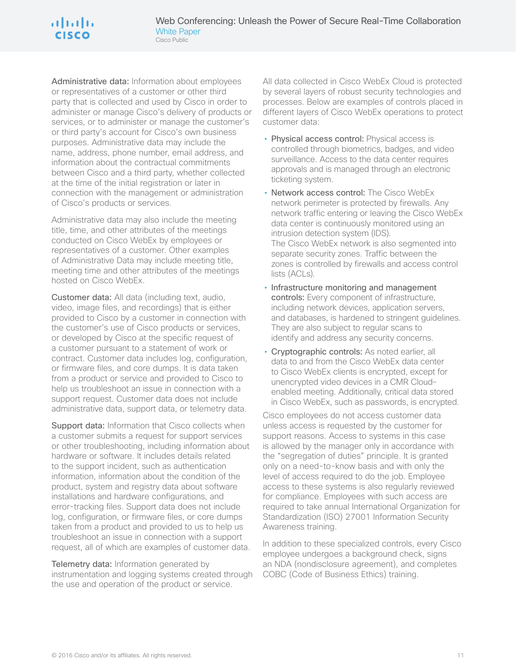Administrative data: Information about employees or representatives of a customer or other third party that is collected and used by Cisco in order to administer or manage Cisco's delivery of products or services, or to administer or manage the customer's or third party's account for Cisco's own business purposes. Administrative data may include the name, address, phone number, email address, and information about the contractual commitments between Cisco and a third party, whether collected at the time of the initial registration or later in connection with the management or administration of Cisco's products or services.

Administrative data may also include the meeting title, time, and other attributes of the meetings conducted on Cisco WebEx by employees or representatives of a customer. Other examples of Administrative Data may include meeting title, meeting time and other attributes of the meetings hosted on Cisco WebEx.

Customer data: All data (including text, audio, video, image files, and recordings) that is either provided to Cisco by a customer in connection with the customer's use of Cisco products or services, or developed by Cisco at the specific request of a customer pursuant to a statement of work or contract. Customer data includes log, configuration, or firmware files, and core dumps. It is data taken from a product or service and provided to Cisco to help us troubleshoot an issue in connection with a support request. Customer data does not include administrative data, support data, or telemetry data.

Support data: Information that Cisco collects when a customer submits a request for support services or other troubleshooting, including information about hardware or software. It includes details related to the support incident, such as authentication information, information about the condition of the product, system and registry data about software installations and hardware configurations, and error-tracking files. Support data does not include log, configuration, or firmware files, or core dumps taken from a product and provided to us to help us troubleshoot an issue in connection with a support request, all of which are examples of customer data.

Telemetry data: Information generated by instrumentation and logging systems created through the use and operation of the product or service.

All data collected in Cisco WebEx Cloud is protected by several layers of robust security technologies and processes. Below are examples of controls placed in different layers of Cisco WebEx operations to protect customer data:

- Physical access control: Physical access is controlled through biometrics, badges, and video surveillance. Access to the data center requires approvals and is managed through an electronic ticketing system.
- Network access control: The Cisco WebEx network perimeter is protected by firewalls. Any network traffic entering or leaving the Cisco WebEx data center is continuously monitored using an intrusion detection system (IDS). The Cisco WebEx network is also segmented into separate security zones. Traffic between the zones is controlled by firewalls and access control lists (ACLs).
- Infrastructure monitoring and management controls: Every component of infrastructure, including network devices, application servers, and databases, is hardened to stringent guidelines. They are also subject to regular scans to identify and address any security concerns.
- Cryptographic controls: As noted earlier, all data to and from the Cisco WebEx data center to Cisco WebEx clients is encrypted, except for unencrypted video devices in a CMR Cloud– enabled meeting. Additionally, critical data stored in Cisco WebEx, such as passwords, is encrypted.

Cisco employees do not access customer data unless access is requested by the customer for support reasons. Access to systems in this case is allowed by the manager only in accordance with the "segregation of duties" principle. It is granted only on a need-to-know basis and with only the level of access required to do the job. Employee access to these systems is also regularly reviewed for compliance. Employees with such access are required to take annual International Organization for Standardization (ISO) 27001 Information Security Awareness training.

In addition to these specialized controls, every Cisco employee undergoes a background check, signs an NDA (nondisclosure agreement), and completes COBC (Code of Business Ethics) training.